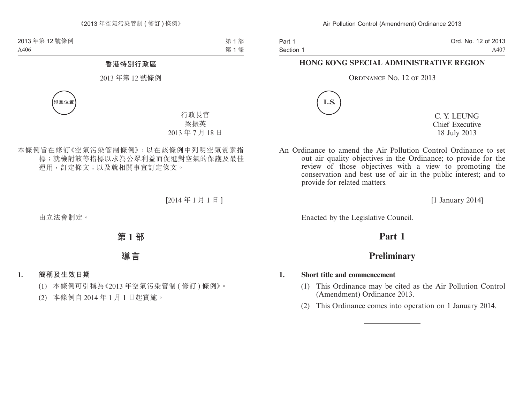Part 1 Section 1 Ord. No. 12 of 2013 A407

#### **HONG KONG SPECIAL ADMINISTRATIVE REGION**

#### ORDINANCE NO. 12 OF 2013



C. Y. LEUNG Chief Executive 18 July 2013

An Ordinance to amend the Air Pollution Control Ordinance to set out air quality objectives in the Ordinance; to provide for the review of those objectives with a view to promoting the conservation and best use of air in the public interest; and to provide for related matters.

[1 January 2014]

Enacted by the Legislative Council.

# **Part 1**

## **Preliminary**

#### **1. Short title and commencement**

- (1) This Ordinance may be cited as the Air Pollution Control (Amendment) Ordinance 2013.
- (2) This Ordinance comes into operation on 1 January 2014.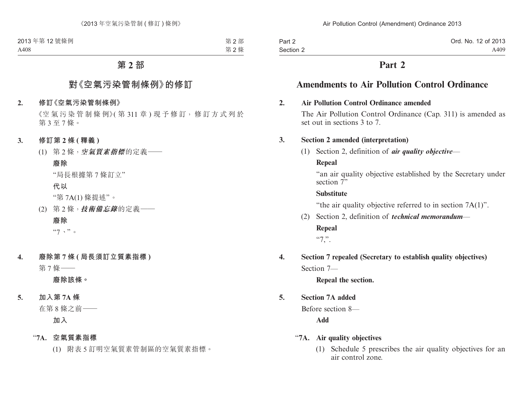| Part 2    | Ord. No. 12 of 2013 |
|-----------|---------------------|
| Section 2 | A409                |

## **Part 2**

# **Amendments to Air Pollution Control Ordinance**

#### **2. Air Pollution Control Ordinance amended**

The Air Pollution Control Ordinance (Cap. 311) is amended as set out in sections 3 to 7.

#### **3. Section 2 amended (interpretation)**

(1) Section 2, definition of *air quality objective*—

### **Repeal**

"an air quality objective established by the Secretary under section  $\bar{T}$ "

### **Substitute**

"the air quality objective referred to in section 7A(1)".

(2) Section 2, definition of *technical memorandum*—

#### **Repeal**

 $~^{44}$ .

**4. Section 7 repealed (Secretary to establish quality objectives)** Section 7—

**Repeal the section.**

## **5. Section 7A added**

Before section 8—

**Add**

#### "**7A. Air quality objectives**

(1) Schedule 5 prescribes the air quality objectives for an air control zone.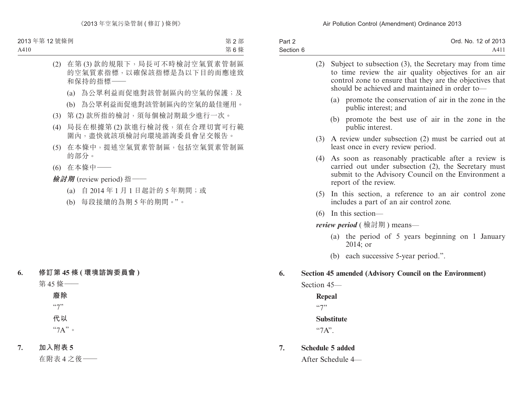| Part 2    | Ord. No. 12 of 2013 |
|-----------|---------------------|
| Section 6 | A41                 |

|     | Subject to subsection (3), the Secretary may from time<br>to time review the air quality objectives for an air<br>control zone to ensure that they are the objectives that<br>should be achieved and maintained in order to- |
|-----|------------------------------------------------------------------------------------------------------------------------------------------------------------------------------------------------------------------------------|
|     | (a) promote the conservation of air in the zone in the<br>public interest; and                                                                                                                                               |
|     | promote the best use of air in the zone in the<br>(b)<br>public interest.                                                                                                                                                    |
|     | $(3)$ A review under subsection $(2)$ must be carried out at<br>least once in every review period.                                                                                                                           |
|     | As soon as reasonably practicable after a review is<br>carried out under subsection (2), the Secretary must<br>submit to the Advisory Council on the Environment a<br>report of the review.                                  |
|     | (5) In this section, a reference to an air control zone<br>includes a part of an air control zone.                                                                                                                           |
|     | $(6)$ In this section—                                                                                                                                                                                                       |
|     | <i>review period</i> (檢討期) means—                                                                                                                                                                                            |
|     | (a) the period of 5 years beginning on 1 January<br>$2014$ ; or                                                                                                                                                              |
|     | (b) each successive 5-year period.".                                                                                                                                                                                         |
|     | Section 45 amended (Advisory Council on the Environment)                                                                                                                                                                     |
|     |                                                                                                                                                                                                                              |
|     |                                                                                                                                                                                                                              |
| 557 |                                                                                                                                                                                                                              |
|     | (2)<br>(4)<br>Section 45–<br><b>Repeal</b>                                                                                                                                                                                   |

**Substitute**

"7A".

**7. Schedule 5 added**

After Schedule 4—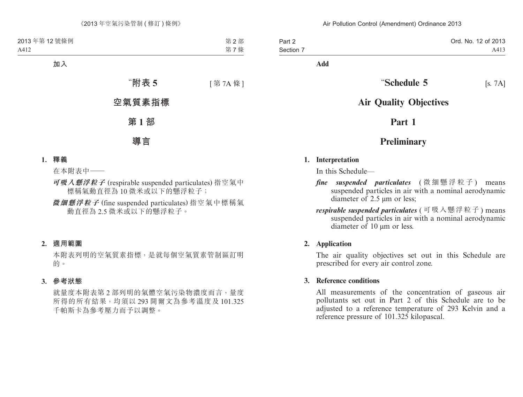| Part 2    | Ord. No. 12 of 2013 |
|-----------|---------------------|
| Section 7 | A413                |

**Add**

# **"Schedule 5** [s. 7A]

# **Air Quality Objectives**

# **Part 1**

# **Preliminary**

#### **1. Interpretation**

In this Schedule—

- *fine suspended particulates* ( 微 細 懸 浮 粒 子 ) means suspended particles in air with a nominal aerodynamic diameter of 2.5 μm or less;
- *respirable suspended particulates* ( 可吸入懸浮粒子 ) means suspended particles in air with a nominal aerodynamic diameter of 10 μm or less.

#### **2. Application**

The air quality objectives set out in this Schedule are prescribed for every air control zone.

#### **3. Reference conditions**

All measurements of the concentration of gaseous air pollutants set out in Part 2 of this Schedule are to be adjusted to a reference temperature of 293 Kelvin and a reference pressure of 101.325 kilopascal.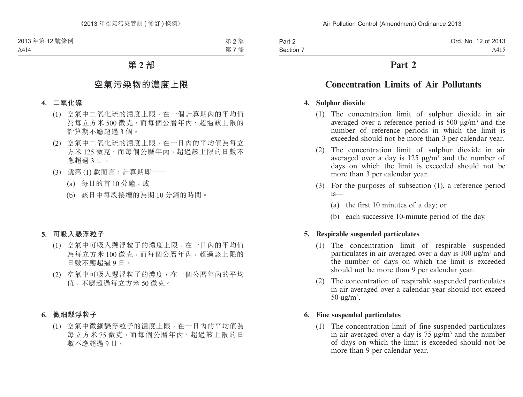Part 2 Section 7

## **Part 2**

# **Concentration Limits of Air Pollutants**

### **4. Sulphur dioxide**

- (1) The concentration limit of sulphur dioxide in air averaged over a reference period is  $500 \mu g/m<sup>3</sup>$  and the number of reference periods in which the limit is exceeded should not be more than 3 per calendar year.
- (2) The concentration limit of sulphur dioxide in air averaged over a day is 125  $\mu$ g/m<sup>3</sup> and the number of days on which the limit is exceeded should not be more than 3 per calendar year.
- (3) For the purposes of subsection (1), a reference period is—
	- (a) the first 10 minutes of a day; or
	- (b) each successive 10-minute period of the day.

## **5. Respirable suspended particulates**

- (1) The concentration limit of respirable suspended particulates in air averaged over a day is 100  $\mu$ g/m<sup>3</sup> and the number of days on which the limit is exceeded should not be more than 9 per calendar year.
- (2) The concentration of respirable suspended particulates in air averaged over a calendar year should not exceed  $50 \mu g/m<sup>3</sup>$ .

## **6. Fine suspended particulates**

(1) The concentration limit of fine suspended particulates in air averaged over a day is  $75 \mu g/m<sup>3</sup>$  and the number of days on which the limit is exceeded should not be more than 9 per calendar year.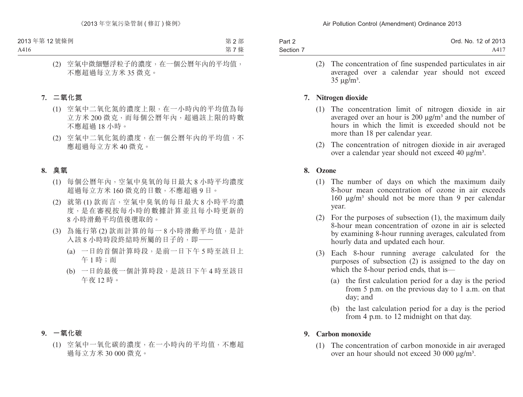| Part 2    | Ord. No. 12 of 2013 |
|-----------|---------------------|
| Section 7 | A417                |

(2) The concentration of fine suspended particulates in air averaged over a calendar year should not exceed  $35 \text{ µg/m}^3$ .

#### **7. Nitrogen dioxide**

- (1) The concentration limit of nitrogen dioxide in air averaged over an hour is 200  $\mu$ g/m<sup>3</sup> and the number of hours in which the limit is exceeded should not be more than 18 per calendar year.
- (2) The concentration of nitrogen dioxide in air averaged over a calendar year should not exceed 40 μg/m³.

#### **8. Ozone**

- (1) The number of days on which the maximum daily 8-hour mean concentration of ozone in air exceeds  $160 \text{ μg/m}$ <sup>3</sup> should not be more than 9 per calendar year.
- (2) For the purposes of subsection (1), the maximum daily 8-hour mean concentration of ozone in air is selected by examining 8-hour running averages, calculated from hourly data and updated each hour.
- (3) Each 8-hour running average calculated for the purposes of subsection (2) is assigned to the day on which the 8-hour period ends, that is—
	- (a) the first calculation period for a day is the period from 5 p.m. on the previous day to 1 a.m. on that day; and
	- (b) the last calculation period for a day is the period from 4 p.m. to 12 midnight on that day.

#### **9. Carbon monoxide**

(1) The concentration of carbon monoxide in air averaged over an hour should not exceed 30 000 μg/m<sup>3</sup>.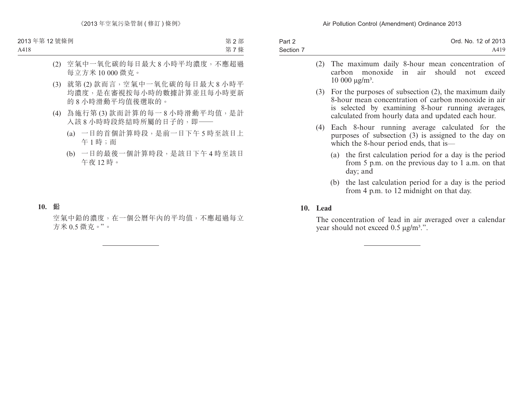| Part 2    | Ord. No. 12 of 2013 |
|-----------|---------------------|
| Section 7 | A419                |
|           |                     |

- (2) The maximum daily 8-hour mean concentration of carbon monoxide in air should not exceed  $10000 \text{ kg/m}^3$ .
- (3) For the purposes of subsection (2), the maximum daily 8-hour mean concentration of carbon monoxide in air is selected by examining 8-hour running averages, calculated from hourly data and updated each hour.
- (4) Each 8-hour running average calculated for the purposes of subsection (3) is assigned to the day on which the 8-hour period ends, that is—
	- (a) the first calculation period for a day is the period from 5 p.m. on the previous day to 1 a.m. on that day; and
	- (b) the last calculation period for a day is the period from 4 p.m. to 12 midnight on that day.

#### **10. Lead**

The concentration of lead in air averaged over a calendar year should not exceed 0.5 μg/m³.".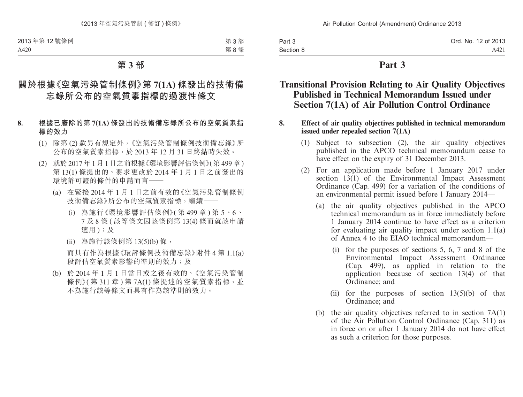| Part 3    | Ord. No. 12 of 2013 |
|-----------|---------------------|
| Section 8 | A421                |

## **Part 3**

## **Transitional Provision Relating to Air Quality Objectives Published in Technical Memorandum Issued under Section 7(1A) of Air Pollution Control Ordinance**

#### **8. Effect of air quality objectives published in technical memorandum issued under repealed section 7(1A)**

- (1) Subject to subsection (2), the air quality objectives published in the APCO technical memorandum cease to have effect on the expiry of 31 December 2013.
- (2) For an application made before 1 January 2017 under section  $13(1)$  of the Environmental Impact Assessment Ordinance (Cap. 499) for a variation of the conditions of an environmental permit issued before 1 January 2014—
	- (a) the air quality objectives published in the APCO technical memorandum as in force immediately before 1 January 2014 continue to have effect as a criterion for evaluating air quality impact under section 1.1(a) of Annex 4 to the EIAO technical memorandum—
		- (i) for the purposes of sections 5, 6, 7 and 8 of the Environmental Impact Assessment Ordinance (Cap. 499), as applied in relation to the application because of section 13(4) of that Ordinance; and
		- (ii) for the purposes of section  $13(5)(b)$  of that Ordinance; and
	- (b) the air quality objectives referred to in section 7A(1) of the Air Pollution Control Ordinance (Cap. 311) as in force on or after 1 January 2014 do not have effect as such a criterion for those purposes.